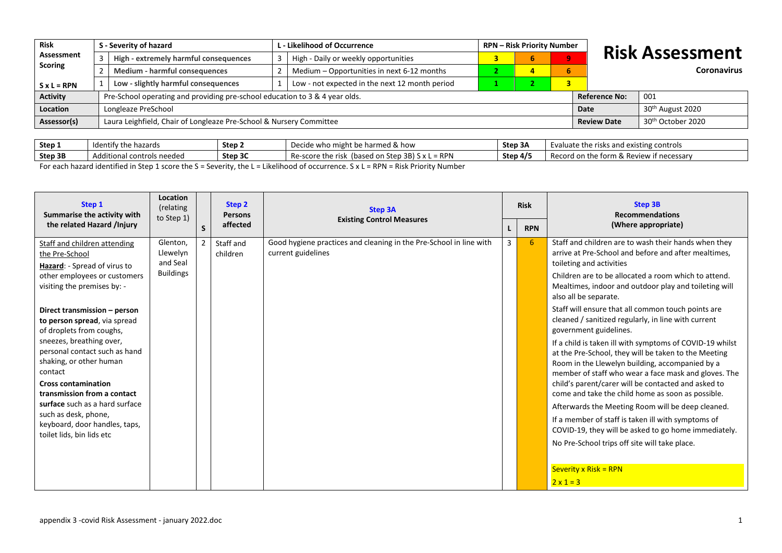| <b>Risk</b>        |                                       | S - Severity of hazard                                                      |                                                | <b>RPN - Risk Priority Number</b><br>L - Likelihood of Occurrence |                  |   |  |              |                        |                               |  |
|--------------------|---------------------------------------|-----------------------------------------------------------------------------|------------------------------------------------|-------------------------------------------------------------------|------------------|---|--|--------------|------------------------|-------------------------------|--|
| Assessment         | High - extremely harmful consequences |                                                                             | High - Daily or weekly opportunities           |                                                                   |                  | ъ |  | $\mathbf{Q}$ | <b>Risk Assessment</b> |                               |  |
| <b>Scoring</b>     |                                       | Medium - harmful consequences                                               |                                                | Medium - Opportunities in next 6-12 months                        |                  |   |  | 6            |                        | <b>Coronavirus</b>            |  |
| $S \times L = RPN$ |                                       | Low - slightly harmful consequences                                         | Low - not expected in the next 12 month period |                                                                   |                  |   |  |              |                        |                               |  |
| <b>Activity</b>    |                                       | Pre-School operating and providing pre-school education to 3 & 4 year olds. |                                                |                                                                   |                  |   |  |              | <b>Reference No:</b>   | 001                           |  |
| <b>Location</b>    |                                       | Longleaze PreSchool                                                         |                                                | Date                                                              | 30th August 2020 |   |  |              |                        |                               |  |
| Assessor(s)        |                                       | Laura Leighfield, Chair of Longleaze Pre-School & Nursery Committee         |                                                |                                                                   |                  |   |  |              | <b>Review Date</b>     | 30 <sup>th</sup> October 2020 |  |

| Step 1  | .<br>the hazards /<br><b>Identify</b>                                           | Step 2  | .ht be harmed & how<br>o mi<br>wnc<br><b>DELIUE</b>            | - Stan<br>SLED SF | p risks and existing controls.<br>Evaluate the                            |
|---------|---------------------------------------------------------------------------------|---------|----------------------------------------------------------------|-------------------|---------------------------------------------------------------------------|
| Step 3B | tional controls needed<br>AdC                                                   | Step 3C | RPN<br>.<br>Re-score<br>(based<br>. .<br>∣ on Ste<br>.<br>,,,, | Step $4/5$        | <sup>o</sup> Review<br>- +--<br>ew if necessary.<br>the<br>.d or<br>Recor |
|         | the contract of the contract of the contract of the contract of the contract of |         |                                                                |                   |                                                                           |

For each hazard identified in Step 1 score the S = Severity, the L = Likelihood of occurrence. S x L = RPN = Risk Priority Number

| Step 1<br>Summarise the activity with                                                                                                                                                                                                                                                                                                                                                                                                                                                                | Location<br>(relating<br>to Step 1)                  |    | Step 2<br><b>Persons</b> | <b>Step 3A</b><br><b>Existing Control Measures</b>                                       |   | <b>Risk</b> | <b>Step 3B</b><br><b>Recommendations</b>                                                                                                                                                                                                                                                                                                                                                                                                                                                                                                                                                                                                                                                                                                                                                                                                                                        |
|------------------------------------------------------------------------------------------------------------------------------------------------------------------------------------------------------------------------------------------------------------------------------------------------------------------------------------------------------------------------------------------------------------------------------------------------------------------------------------------------------|------------------------------------------------------|----|--------------------------|------------------------------------------------------------------------------------------|---|-------------|---------------------------------------------------------------------------------------------------------------------------------------------------------------------------------------------------------------------------------------------------------------------------------------------------------------------------------------------------------------------------------------------------------------------------------------------------------------------------------------------------------------------------------------------------------------------------------------------------------------------------------------------------------------------------------------------------------------------------------------------------------------------------------------------------------------------------------------------------------------------------------|
| the related Hazard /Injury                                                                                                                                                                                                                                                                                                                                                                                                                                                                           |                                                      | S. | affected                 |                                                                                          |   | <b>RPN</b>  | (Where appropriate)                                                                                                                                                                                                                                                                                                                                                                                                                                                                                                                                                                                                                                                                                                                                                                                                                                                             |
| Staff and children attending<br>the Pre-School<br>Hazard: - Spread of virus to<br>other employees or customers<br>visiting the premises by: -<br>Direct transmission - person<br>to person spread, via spread<br>of droplets from coughs,<br>sneezes, breathing over,<br>personal contact such as hand<br>shaking, or other human<br>contact<br><b>Cross contamination</b><br>transmission from a contact<br>surface such as a hard surface<br>such as desk, phone,<br>keyboard, door handles, taps, | Glenton,<br>Llewelyn<br>and Seal<br><b>Buildings</b> | 2  | Staff and<br>children    | Good hygiene practices and cleaning in the Pre-School in line with<br>current guidelines | 3 | 6           | Staff and children are to wash their hands when they<br>arrive at Pre-School and before and after mealtimes,<br>toileting and activities<br>Children are to be allocated a room which to attend.<br>Mealtimes, indoor and outdoor play and toileting will<br>also all be separate.<br>Staff will ensure that all common touch points are<br>cleaned / sanitized regularly, in line with current<br>government guidelines.<br>If a child is taken ill with symptoms of COVID-19 whilst<br>at the Pre-School, they will be taken to the Meeting<br>Room in the Llewelyn building, accompanied by a<br>member of staff who wear a face mask and gloves. The<br>child's parent/carer will be contacted and asked to<br>come and take the child home as soon as possible.<br>Afterwards the Meeting Room will be deep cleaned.<br>If a member of staff is taken ill with symptoms of |
| toilet lids, bin lids etc                                                                                                                                                                                                                                                                                                                                                                                                                                                                            |                                                      |    |                          |                                                                                          |   |             | COVID-19, they will be asked to go home immediately.<br>No Pre-School trips off site will take place.                                                                                                                                                                                                                                                                                                                                                                                                                                                                                                                                                                                                                                                                                                                                                                           |
|                                                                                                                                                                                                                                                                                                                                                                                                                                                                                                      |                                                      |    |                          |                                                                                          |   |             | <b>Severity x Risk = RPN</b>                                                                                                                                                                                                                                                                                                                                                                                                                                                                                                                                                                                                                                                                                                                                                                                                                                                    |
|                                                                                                                                                                                                                                                                                                                                                                                                                                                                                                      |                                                      |    |                          |                                                                                          |   |             | $2 \times 1 = 3$                                                                                                                                                                                                                                                                                                                                                                                                                                                                                                                                                                                                                                                                                                                                                                                                                                                                |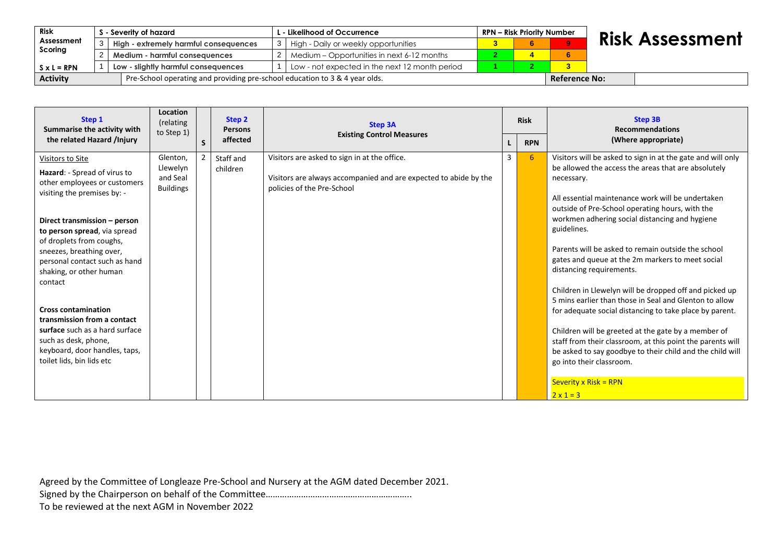| Risk               | S - Severity of hazard                                                      |  | <b>RPN - Risk Priority Number</b><br>. - Likelihood of Occurrence |  |  |  |  |                      |                        |
|--------------------|-----------------------------------------------------------------------------|--|-------------------------------------------------------------------|--|--|--|--|----------------------|------------------------|
| Assessment         | High - extremely harmful consequences                                       |  | 3   High - Daily or weekly opportunities                          |  |  |  |  |                      | <b>Risk Assessment</b> |
| Scoring            | Medium - harmful consequences                                               |  | 2   Medium – Opportunities in next 6-12 months                    |  |  |  |  |                      |                        |
| $S \times L = RPN$ | Low - slightly harmful consequences                                         |  | Low - not expected in the next 12 month period                    |  |  |  |  |                      |                        |
| <b>Activity</b>    | Pre-School operating and providing pre-school education to 3 & 4 year olds. |  |                                                                   |  |  |  |  | <b>Reference No:</b> |                        |

| Step 1<br>Summarise the activity with                                                                                                                                                                                                                                                                          | Location<br>(relating<br>to Step 1)                  |    | Step 2<br><b>Persons</b> | <b>Step 3A</b>                                                                                                                                 |   | <b>Risk</b> | <b>Step 3B</b><br><b>Recommendations</b>                                                                                                                                                                                                                                                                                                                                                                                                                                                                                                                            |  |  |
|----------------------------------------------------------------------------------------------------------------------------------------------------------------------------------------------------------------------------------------------------------------------------------------------------------------|------------------------------------------------------|----|--------------------------|------------------------------------------------------------------------------------------------------------------------------------------------|---|-------------|---------------------------------------------------------------------------------------------------------------------------------------------------------------------------------------------------------------------------------------------------------------------------------------------------------------------------------------------------------------------------------------------------------------------------------------------------------------------------------------------------------------------------------------------------------------------|--|--|
| the related Hazard /Injury                                                                                                                                                                                                                                                                                     |                                                      | S. | affected                 | <b>Existing Control Measures</b>                                                                                                               |   | <b>RPN</b>  | (Where appropriate)                                                                                                                                                                                                                                                                                                                                                                                                                                                                                                                                                 |  |  |
| Visitors to Site<br>Hazard: - Spread of virus to<br>other employees or customers<br>visiting the premises by: -<br>Direct transmission - person<br>to person spread, via spread<br>of droplets from coughs,<br>sneezes, breathing over,<br>personal contact such as hand<br>shaking, or other human<br>contact | Glenton,<br>Llewelyn<br>and Seal<br><b>Buildings</b> |    | Staff and<br>children    | Visitors are asked to sign in at the office.<br>Visitors are always accompanied and are expected to abide by the<br>policies of the Pre-School | 3 | 6           | Visitors will be asked to sign in at the gate and will only<br>be allowed the access the areas that are absolutely<br>necessary.<br>All essential maintenance work will be undertaken<br>outside of Pre-School operating hours, with the<br>workmen adhering social distancing and hygiene<br>guidelines.<br>Parents will be asked to remain outside the school<br>gates and queue at the 2m markers to meet social<br>distancing requirements.<br>Children in Llewelyn will be dropped off and picked up<br>5 mins earlier than those in Seal and Glenton to allow |  |  |
| <b>Cross contamination</b><br>transmission from a contact<br>surface such as a hard surface<br>such as desk, phone,<br>keyboard, door handles, taps,<br>toilet lids, bin lids etc                                                                                                                              |                                                      |    |                          |                                                                                                                                                |   |             | for adequate social distancing to take place by parent.<br>Children will be greeted at the gate by a member of<br>staff from their classroom, at this point the parents will<br>be asked to say goodbye to their child and the child will<br>go into their classroom.<br>Severity x Risk = $RPN$<br>$2x1=3$                                                                                                                                                                                                                                                         |  |  |

Agreed by the Committee of Longleaze Pre-School and Nursery at the AGM dated December 2021.

Signed by the Chairperson on behalf of the Committee…………………………………………………………………………

To be reviewed at the next AGM in November 2022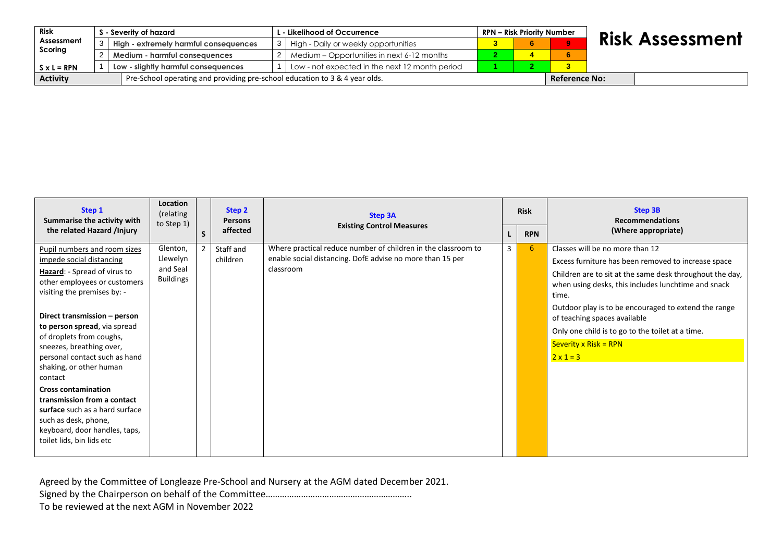| Risk               |                                       | S - Severity of hazard              |                                                                             | . - Likelihood of Occurrence                   |  | <b>RPN – Risk Priority Number</b> |  |  | <b>Risk Assessment</b> |                      |
|--------------------|---------------------------------------|-------------------------------------|-----------------------------------------------------------------------------|------------------------------------------------|--|-----------------------------------|--|--|------------------------|----------------------|
| Assessment         | High - extremely harmful consequences |                                     | High - Daily or weekly opportunities                                        |                                                |  |                                   |  |  |                        |                      |
| Scoring            |                                       | Medium - harmful consequences       |                                                                             | Medium – Opportunities in next 6-12 months     |  |                                   |  |  |                        |                      |
| $S \times L = RPN$ |                                       | Low - slightly harmful consequences |                                                                             | Low - not expected in the next 12 month period |  |                                   |  |  |                        |                      |
| <b>Activity</b>    |                                       |                                     | Pre-School operating and providing pre-school education to 3 & 4 year olds. |                                                |  |                                   |  |  |                        | <b>Reference No:</b> |

| Step 1<br>Summarise the activity with                                                                                                                                                                                                                                                                                                                                                                                                                                                                                                       | Location<br>(relating<br>to Step 1)                  |              | Step 2<br><b>Persons</b> | <b>Step 3A</b>                                                                                                                          |              | <b>Risk</b> | <b>Step 3B</b><br><b>Recommendations</b>                                                                                                                                                                                                                                                                                                                                                                      |  |  |
|---------------------------------------------------------------------------------------------------------------------------------------------------------------------------------------------------------------------------------------------------------------------------------------------------------------------------------------------------------------------------------------------------------------------------------------------------------------------------------------------------------------------------------------------|------------------------------------------------------|--------------|--------------------------|-----------------------------------------------------------------------------------------------------------------------------------------|--------------|-------------|---------------------------------------------------------------------------------------------------------------------------------------------------------------------------------------------------------------------------------------------------------------------------------------------------------------------------------------------------------------------------------------------------------------|--|--|
| the related Hazard /Injury                                                                                                                                                                                                                                                                                                                                                                                                                                                                                                                  |                                                      | <sub>S</sub> | affected                 | <b>Existing Control Measures</b>                                                                                                        |              | <b>RPN</b>  | (Where appropriate)                                                                                                                                                                                                                                                                                                                                                                                           |  |  |
| Pupil numbers and room sizes<br>impede social distancing<br>Hazard: - Spread of virus to<br>other employees or customers<br>visiting the premises by: -<br>Direct transmission - person<br>to person spread, via spread<br>of droplets from coughs,<br>sneezes, breathing over,<br>personal contact such as hand<br>shaking, or other human<br>contact<br><b>Cross contamination</b><br>transmission from a contact<br>surface such as a hard surface<br>such as desk, phone,<br>keyboard, door handles, taps,<br>toilet lids, bin lids etc | Glenton,<br>Llewelyn<br>and Seal<br><b>Buildings</b> |              | Staff and<br>children    | Where practical reduce number of children in the classroom to<br>enable social distancing. DofE advise no more than 15 per<br>classroom | $\mathbf{3}$ | 6           | Classes will be no more than 12<br>Excess furniture has been removed to increase space<br>Children are to sit at the same desk throughout the day,<br>when using desks, this includes lunchtime and snack<br>time.<br>Outdoor play is to be encouraged to extend the range<br>of teaching spaces available<br>Only one child is to go to the toilet at a time.<br>Severity x Risk = $RPN$<br>$2 \times 1 = 3$ |  |  |

Agreed by the Committee of Longleaze Pre-School and Nursery at the AGM dated December 2021.

Signed by the Chairperson on behalf of the Committee…………………………………………………………………………

To be reviewed at the next AGM in November 2022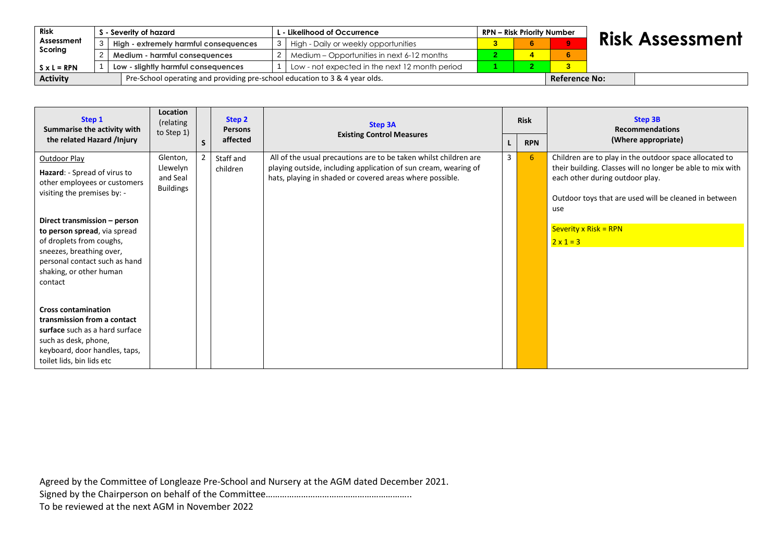| Risk               |                                       | - Severity of hazard                                                        |  | L - Likelihood of Occurrence .                 |  |  | RPN – Risk Priority Number |                      |                        |
|--------------------|---------------------------------------|-----------------------------------------------------------------------------|--|------------------------------------------------|--|--|----------------------------|----------------------|------------------------|
| Assessment         | High - extremely harmful consequences |                                                                             |  | High - Daily or weekly opportunities           |  |  |                            |                      | <b>Risk Assessment</b> |
| Scoring            |                                       | Medium - harmful consequences                                               |  | Medium – Opportunities in next 6-12 months     |  |  |                            |                      |                        |
| $S \times L = RPN$ |                                       | Low - slightly harmful consequences                                         |  | Low - not expected in the next 12 month period |  |  |                            |                      |                        |
| <b>Activity</b>    |                                       | Pre-School operating and providing pre-school education to 3 & 4 year olds. |  |                                                |  |  |                            | <b>Reference No:</b> |                        |

| Step 1<br>Summarise the activity with                                                                                                                                             | Location<br>(relating<br>to Step 1)                  |    | Step 2<br><b>Persons</b> | <b>Step 3A</b><br><b>Existing Control Measures</b>                                                                                                                                              |   | <b>Risk</b> | <b>Step 3B</b><br><b>Recommendations</b>                                                                                                                                                                                                           |  |
|-----------------------------------------------------------------------------------------------------------------------------------------------------------------------------------|------------------------------------------------------|----|--------------------------|-------------------------------------------------------------------------------------------------------------------------------------------------------------------------------------------------|---|-------------|----------------------------------------------------------------------------------------------------------------------------------------------------------------------------------------------------------------------------------------------------|--|
| the related Hazard /Injury                                                                                                                                                        |                                                      | S. | affected                 |                                                                                                                                                                                                 |   | <b>RPN</b>  | (Where appropriate)                                                                                                                                                                                                                                |  |
| Outdoor Play<br>Hazard: - Spread of virus to<br>other employees or customers<br>visiting the premises by: -<br>Direct transmission - person                                       | Glenton,<br>Llewelyn<br>and Seal<br><b>Buildings</b> |    | Staff and<br>children    | All of the usual precautions are to be taken whilst children are<br>playing outside, including application of sun cream, wearing of<br>hats, playing in shaded or covered areas where possible. | 3 | 6           | Children are to play in the outdoor space allocated to<br>their building. Classes will no longer be able to mix with<br>each other during outdoor play.<br>Outdoor toys that are used will be cleaned in between<br>use<br>Severity $x$ Risk = RPN |  |
| to person spread, via spread<br>of droplets from coughs,<br>sneezes, breathing over,<br>personal contact such as hand<br>shaking, or other human<br>contact                       |                                                      |    |                          |                                                                                                                                                                                                 |   |             | $2 \times 1 = 3$                                                                                                                                                                                                                                   |  |
| <b>Cross contamination</b><br>transmission from a contact<br>surface such as a hard surface<br>such as desk, phone,<br>keyboard, door handles, taps,<br>toilet lids, bin lids etc |                                                      |    |                          |                                                                                                                                                                                                 |   |             |                                                                                                                                                                                                                                                    |  |

Agreed by the Committee of Longleaze Pre-School and Nursery at the AGM dated December 2021.

Signed by the Chairperson on behalf of the Committee…………………………………………………………………………

To be reviewed at the next AGM in November 2022